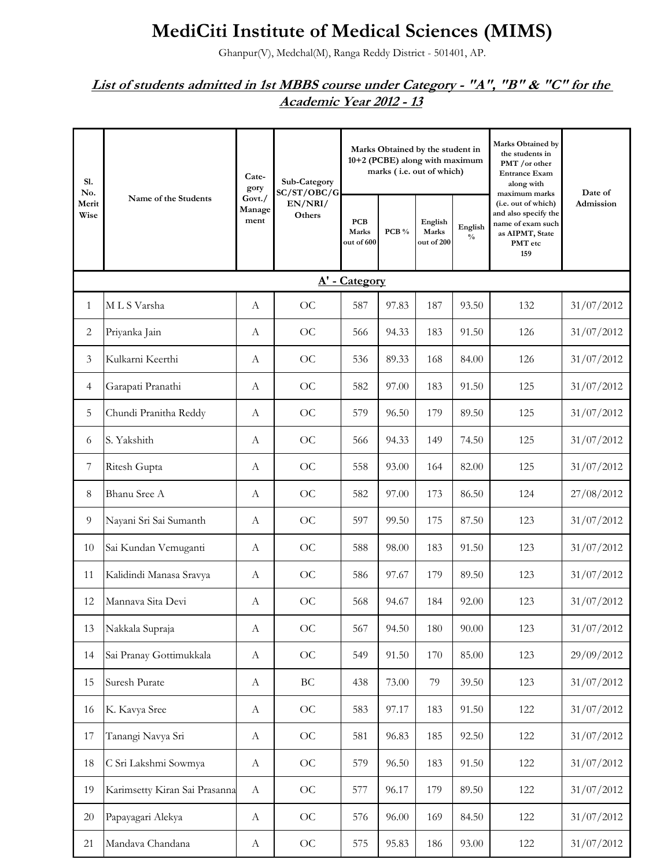## **MediCiti Institute of Medical Sciences (MIMS)**

Ghanpur(V), Medchal(M), Ranga Reddy District - 501401, AP.

## *List of students admitted in 1st MBBS course under Category - "A", "B" & "C" for the Academic Year 2012 - 13*

| S1.<br>No.<br>Merit<br>Wise | Name of the Students          | Cate-<br>gory            | Sub-Category<br>SC/ST/OBC/G<br>EN/NRI/<br>Others |                                   |       | Marks Obtained by the student in<br>10+2 (PCBE) along with maximum<br>marks (i.e. out of which) |                          | <b>Marks Obtained by</b><br>the students in<br>PMT /or other<br><b>Entrance Exam</b><br>along with<br>maximum marks | Date of<br>Admission |
|-----------------------------|-------------------------------|--------------------------|--------------------------------------------------|-----------------------------------|-------|-------------------------------------------------------------------------------------------------|--------------------------|---------------------------------------------------------------------------------------------------------------------|----------------------|
|                             |                               | Govt./<br>Manage<br>ment |                                                  | <b>PCB</b><br>Marks<br>out of 600 | PCB % | English<br>Marks<br>out of 200                                                                  | English<br>$\frac{0}{0}$ | (i.e. out of which)<br>and also specify the<br>name of exam such<br>as AIPMT, State<br>PMT etc<br>159               |                      |
|                             |                               |                          |                                                  | A' - Category                     |       |                                                                                                 |                          |                                                                                                                     |                      |
| 1                           | MLS Varsha                    | $\mathbf{A}$             | OC                                               | 587                               | 97.83 | 187                                                                                             | 93.50                    | 132                                                                                                                 | 31/07/2012           |
| 2                           | Priyanka Jain                 | А                        | OC                                               | 566                               | 94.33 | 183                                                                                             | 91.50                    | 126                                                                                                                 | 31/07/2012           |
| 3                           | Kulkarni Keerthi              | $\boldsymbol{A}$         | OC                                               | 536                               | 89.33 | 168                                                                                             | 84.00                    | 126                                                                                                                 | 31/07/2012           |
| 4                           | Garapati Pranathi             | $\boldsymbol{A}$         | OC                                               | 582                               | 97.00 | 183                                                                                             | 91.50                    | 125                                                                                                                 | 31/07/2012           |
| 5                           | Chundi Pranitha Reddy         | A                        | OC                                               | 579                               | 96.50 | 179                                                                                             | 89.50                    | 125                                                                                                                 | 31/07/2012           |
| 6                           | S. Yakshith                   | A                        | OC                                               | 566                               | 94.33 | 149                                                                                             | 74.50                    | 125                                                                                                                 | 31/07/2012           |
| 7                           | Ritesh Gupta                  | А                        | OC                                               | 558                               | 93.00 | 164                                                                                             | 82.00                    | 125                                                                                                                 | 31/07/2012           |
| 8                           | Bhanu Sree A                  | А                        | OC                                               | 582                               | 97.00 | 173                                                                                             | 86.50                    | 124                                                                                                                 | 27/08/2012           |
| 9                           | Nayani Sri Sai Sumanth        | А                        | <b>OC</b>                                        | 597                               | 99.50 | 175                                                                                             | 87.50                    | 123                                                                                                                 | 31/07/2012           |
| 10                          | Sai Kundan Vemuganti          | А                        | OC                                               | 588                               | 98.00 | 183                                                                                             | 91.50                    | 123                                                                                                                 | 31/07/2012           |
| 11                          | Kalidindi Manasa Sravya       | А                        | OC                                               | 586                               | 97.67 | 179                                                                                             | 89.50                    | 123                                                                                                                 | 31/07/2012           |
| 12                          | Mannava Sita Devi             | А                        | OC                                               | 568                               | 94.67 | 184                                                                                             | 92.00                    | 123                                                                                                                 | 31/07/2012           |
| 13                          | Nakkala Supraja               | $\mathbf{A}$             | OC                                               | 567                               | 94.50 | 180                                                                                             | 90.00                    | 123                                                                                                                 | 31/07/2012           |
| 14                          | Sai Pranay Gottimukkala       | $\boldsymbol{A}$         | OC                                               | 549                               | 91.50 | 170                                                                                             | 85.00                    | 123                                                                                                                 | 29/09/2012           |
| 15                          | Suresh Purate                 | $\mathbf{A}$             | $\operatorname{BC}$                              | 438                               | 73.00 | 79                                                                                              | 39.50                    | 123                                                                                                                 | 31/07/2012           |
| 16                          | K. Kavya Sree                 | A                        | OC                                               | 583                               | 97.17 | 183                                                                                             | 91.50                    | 122                                                                                                                 | 31/07/2012           |
| 17                          | Tanangi Navya Sri             | A                        | $\rm OC$                                         | 581                               | 96.83 | 185                                                                                             | 92.50                    | 122                                                                                                                 | 31/07/2012           |
| 18                          | C Sri Lakshmi Sowmya          | $\mathbf{A}$             | OC                                               | 579                               | 96.50 | 183                                                                                             | 91.50                    | 122                                                                                                                 | 31/07/2012           |
| 19                          | Karimsetty Kiran Sai Prasanna | $\boldsymbol{A}$         | OC                                               | 577                               | 96.17 | 179                                                                                             | 89.50                    | 122                                                                                                                 | 31/07/2012           |
| 20                          | Papayagari Alekya             | $\mathbf{A}$             | OC                                               | 576                               | 96.00 | 169                                                                                             | 84.50                    | 122                                                                                                                 | 31/07/2012           |
| 21                          | Mandava Chandana              | $\boldsymbol{A}$         | $\rm OC$                                         | 575                               | 95.83 | 186                                                                                             | 93.00                    | 122                                                                                                                 | 31/07/2012           |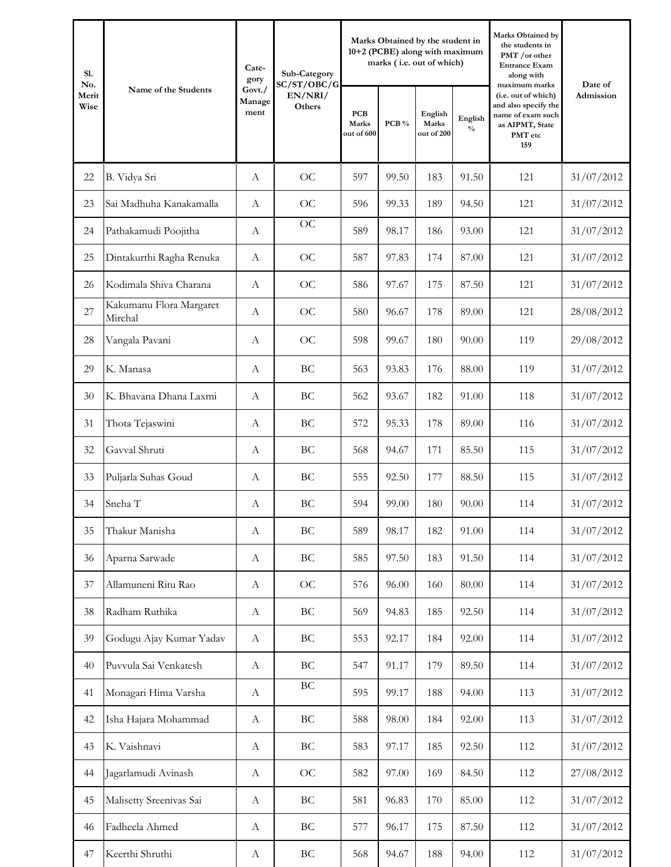| S1.<br>No.    | Name of the Students               | Cate-<br>gory            | Sub-Category                     |                                   |       | Marks Obtained by the student in<br>10+2 (PCBE) along with maximum<br>marks (i.e. out of which) |                          | Marks Obtained by<br>the students in<br>PMT /or other<br><b>Entrance Exam</b><br>along with<br>maximum marks | Date of<br>Admission |
|---------------|------------------------------------|--------------------------|----------------------------------|-----------------------------------|-------|-------------------------------------------------------------------------------------------------|--------------------------|--------------------------------------------------------------------------------------------------------------|----------------------|
| Merit<br>Wise |                                    | Govt./<br>Manage<br>ment | SC/ST/OBC/G<br>EN/NRI/<br>Others | <b>PCB</b><br>Marks<br>out of 600 | PCB % | English<br>Marks<br>out of 200                                                                  | English<br>$\frac{0}{0}$ | (i.e. out of which)<br>and also specify the<br>name of exam such<br>as AIPMT, State<br>PMT etc<br>159        |                      |
| 22            | B. Vidya Sri                       | A                        | <b>OC</b>                        | 597                               | 99.50 | 183                                                                                             | 91.50                    | 121                                                                                                          | 31/07/2012           |
| 23            | Sai Madhuha Kanakamalla            | $\mathbf{A}$             | <b>OC</b>                        | 596                               | 99.33 | 189                                                                                             | 94.50                    | 121                                                                                                          | 31/07/2012           |
| 24            | Pathakamudi Poojitha               | $\mathbf{A}$             | <b>OC</b>                        | 589                               | 98.17 | 186                                                                                             | 93.00                    | 121                                                                                                          | 31/07/2012           |
| 25            | Dintakurthi Ragha Renuka           | $\mathbf{A}$             | <b>OC</b>                        | 587                               | 97.83 | 174                                                                                             | 87.00                    | 121                                                                                                          | 31/07/2012           |
| 26            | Kodimala Shiva Charana             | $\mathbf{A}$             | <b>OC</b>                        | 586                               | 97.67 | 175                                                                                             | 87.50                    | 121                                                                                                          | 31/07/2012           |
| 27            | Kakumanu Flora Margaret<br>Mirchal | A                        | <b>OC</b>                        | 580                               | 96.67 | 178                                                                                             | 89.00                    | 121                                                                                                          | 28/08/2012           |
| 28            | Vangala Pavani                     | A                        | OC                               | 598                               | 99.67 | 180                                                                                             | 90.00                    | 119                                                                                                          | 29/08/2012           |
| 29            | K. Manasa                          | $\mathbf{A}$             | BC                               | 563                               | 93.83 | 176                                                                                             | 88.00                    | 119                                                                                                          | 31/07/2012           |
| 30            | K. Bhavana Dhana Laxmi             | $\mathbf{A}$             | BC                               | 562                               | 93.67 | 182                                                                                             | 91.00                    | 118                                                                                                          | 31/07/2012           |
| 31            | Thota Tejaswini                    | A                        | BC                               | 572                               | 95.33 | 178                                                                                             | 89.00                    | 116                                                                                                          | 31/07/2012           |
| 32            | Gavval Shruti                      | A                        | BC                               | 568                               | 94.67 | 171                                                                                             | 85.50                    | 115                                                                                                          | 31/07/2012           |
| 33            | Puljarla Suhas Goud                | A                        | $\operatorname{BC}$              | 555                               | 92.50 | 177                                                                                             | 88.50                    | 115                                                                                                          | 31/07/2012           |
| 34            | Sneha T                            | A                        | BC                               | 594                               | 99.00 | 180                                                                                             | 90.00                    | 114                                                                                                          | 31/07/2012           |
| 35            | Thakur Manisha                     | $\mathbf{A}$             | $\operatorname{BC}$              | 589                               | 98.17 | 182                                                                                             | 91.00                    | 114                                                                                                          | 31/07/2012           |
| 36            | Aparna Sarwade                     | $\boldsymbol{A}$         | $\operatorname{BC}$              | 585                               | 97.50 | 183                                                                                             | 91.50                    | 114                                                                                                          | 31/07/2012           |
| 37            | Allamuneni Ritu Rao                | $\mathbf{A}$             | $\rm OC$                         | 576                               | 96.00 | 160                                                                                             | 80.00                    | 114                                                                                                          | 31/07/2012           |
| 38            | Radham Ruthika                     | $\mathbf{A}$             | $\operatorname{BC}$              | 569                               | 94.83 | 185                                                                                             | 92.50                    | 114                                                                                                          | 31/07/2012           |
| 39            | Godugu Ajay Kumar Yadav            | $\mathbf{A}$             | $\operatorname{BC}$              | 553                               | 92.17 | 184                                                                                             | 92.00                    | 114                                                                                                          | 31/07/2012           |
| 40            | Puvvula Sai Venkatesh              | $\boldsymbol{\rm{A}}$    | $\operatorname{BC}$              | 547                               | 91.17 | 179                                                                                             | 89.50                    | 114                                                                                                          | 31/07/2012           |
| 41            | Monagari Hima Varsha               | $\mathbf{A}$             | $\operatorname{BC}$              | 595                               | 99.17 | 188                                                                                             | 94.00                    | 113                                                                                                          | 31/07/2012           |
| 42            | Isha Hajara Mohammad               | $\mathbf{A}$             | $\operatorname{BC}$              | 588                               | 98.00 | 184                                                                                             | 92.00                    | 113                                                                                                          | 31/07/2012           |
| 43            | K. Vaishnavi                       | $\mathbf{A}$             | $\operatorname{BC}$              | 583                               | 97.17 | 185                                                                                             | 92.50                    | 112                                                                                                          | 31/07/2012           |
| 44            | Jagarlamudi Avinash                | $\mathbf{A}$             | <b>OC</b>                        | 582                               | 97.00 | 169                                                                                             | 84.50                    | 112                                                                                                          | 27/08/2012           |
| 45            | Malisetty Sreenivas Sai            | $\mathbf{A}$             | $\operatorname{BC}$              | 581                               | 96.83 | 170                                                                                             | 85.00                    | 112                                                                                                          | 31/07/2012           |
| 46            | Fadheela Ahmed                     | $\mathbf{A}$             | $\operatorname{BC}$              | 577                               | 96.17 | 175                                                                                             | 87.50                    | 112                                                                                                          | 31/07/2012           |
| 47            | Keerthi Shruthi                    | $\mathbf{A}$             | $\operatorname{BC}$              | 568                               | 94.67 | 188                                                                                             | 94.00                    | 112                                                                                                          | 31/07/2012           |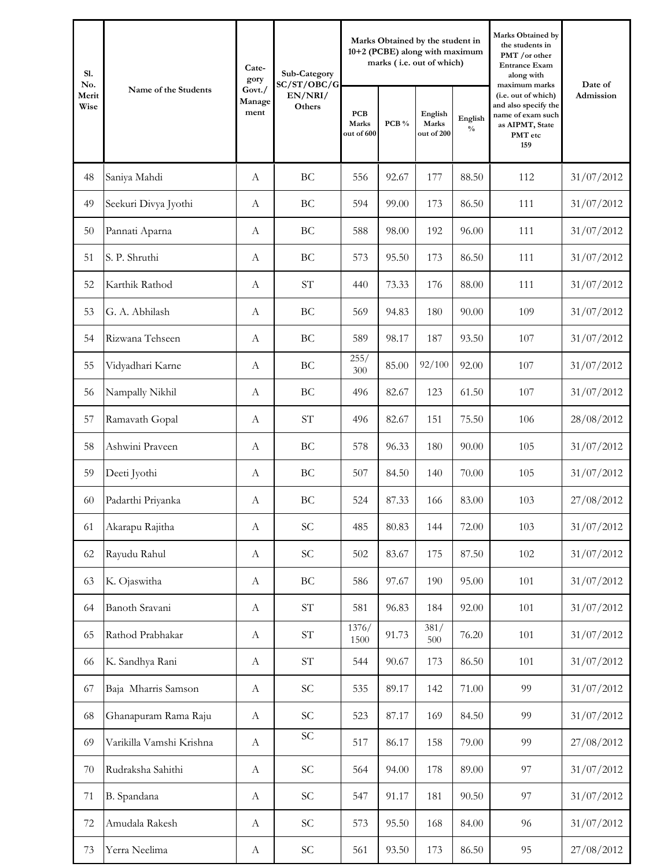| S1.<br>No.    | Name of the Students     | Cate-<br>gory            | Sub-Category<br>SC/ST/OBC/G         |                                   |       | Marks Obtained by the student in<br>10+2 (PCBE) along with maximum<br>marks (i.e. out of which) |                          | Marks Obtained by<br>the students in<br>PMT /or other<br><b>Entrance Exam</b><br>along with<br>maximum marks | Date of    |
|---------------|--------------------------|--------------------------|-------------------------------------|-----------------------------------|-------|-------------------------------------------------------------------------------------------------|--------------------------|--------------------------------------------------------------------------------------------------------------|------------|
| Merit<br>Wise |                          | Govt./<br>Manage<br>ment | EN/NRI/<br>Others                   | <b>PCB</b><br>Marks<br>out of 600 | PCB % | English<br>Marks<br>out of 200                                                                  | English<br>$\frac{0}{0}$ | (i.e. out of which)<br>and also specify the<br>name of exam such<br>as AIPMT, State<br>PMT etc<br>159        | Admission  |
| 48            | Saniya Mahdi             | А                        | BC                                  | 556                               | 92.67 | 177                                                                                             | 88.50                    | 112                                                                                                          | 31/07/2012 |
| 49            | Seekuri Divya Jyothi     | A                        | <b>BC</b>                           | 594                               | 99.00 | 173                                                                                             | 86.50                    | 111                                                                                                          | 31/07/2012 |
| 50            | Pannati Aparna           | $\boldsymbol{A}$         | <b>BC</b>                           | 588                               | 98.00 | 192                                                                                             | 96.00                    | 111                                                                                                          | 31/07/2012 |
| 51            | S. P. Shruthi            | $\boldsymbol{A}$         | BC                                  | 573                               | 95.50 | 173                                                                                             | 86.50                    | 111                                                                                                          | 31/07/2012 |
| 52            | Karthik Rathod           | $\mathbf{A}$             | <b>ST</b>                           | 440                               | 73.33 | 176                                                                                             | 88.00                    | 111                                                                                                          | 31/07/2012 |
| 53            | G. A. Abhilash           | $\boldsymbol{A}$         | <b>BC</b>                           | 569                               | 94.83 | 180                                                                                             | 90.00                    | 109                                                                                                          | 31/07/2012 |
| 54            | Rizwana Tehseen          | A                        | <b>BC</b>                           | 589                               | 98.17 | 187                                                                                             | 93.50                    | 107                                                                                                          | 31/07/2012 |
| 55            | Vidyadhari Karne         | А                        | BC                                  | 255/<br>300                       | 85.00 | 92/100                                                                                          | 92.00                    | 107                                                                                                          | 31/07/2012 |
| 56            | Nampally Nikhil          | А                        | BC                                  | 496                               | 82.67 | 123                                                                                             | 61.50                    | 107                                                                                                          | 31/07/2012 |
| 57            | Ramavath Gopal           | А                        | <b>ST</b>                           | 496                               | 82.67 | 151                                                                                             | 75.50                    | 106                                                                                                          | 28/08/2012 |
| 58            | Ashwini Praveen          | $\mathbf{A}$             | BC                                  | 578                               | 96.33 | 180                                                                                             | 90.00                    | 105                                                                                                          | 31/07/2012 |
| 59            | Deeti Jyothi             | А                        | BC                                  | 507                               | 84.50 | 140                                                                                             | 70.00                    | 105                                                                                                          | 31/07/2012 |
| 60            | Padarthi Priyanka        | А                        | BC                                  | 524                               | 87.33 | 166                                                                                             | 83.00                    | 103                                                                                                          | 27/08/2012 |
| 61            | Akarapu Rajitha          | $\boldsymbol{A}$         | SC                                  | 485                               | 80.83 | 144                                                                                             | 72.00                    | 103                                                                                                          | 31/07/2012 |
| 62            | Rayudu Rahul             | $\boldsymbol{A}$         | $\ensuremath{\mathcal{S}}\xspace C$ | 502                               | 83.67 | 175                                                                                             | 87.50                    | 102                                                                                                          | 31/07/2012 |
| 63            | K. Ojaswitha             | $\boldsymbol{A}$         | BC                                  | 586                               | 97.67 | 190                                                                                             | 95.00                    | 101                                                                                                          | 31/07/2012 |
| 64            | Banoth Sravani           | $\boldsymbol{A}$         | $\ensuremath{\mathrm{ST}}$          | 581                               | 96.83 | 184                                                                                             | 92.00                    | 101                                                                                                          | 31/07/2012 |
| 65            | Rathod Prabhakar         | $\boldsymbol{A}$         | $\ensuremath{\mathrm{ST}}$          | 1376/<br>1500                     | 91.73 | 381/<br>500                                                                                     | 76.20                    | 101                                                                                                          | 31/07/2012 |
| 66            | K. Sandhya Rani          | $\boldsymbol{A}$         | $\ensuremath{\mathrm{ST}}$          | 544                               | 90.67 | 173                                                                                             | 86.50                    | 101                                                                                                          | 31/07/2012 |
| 67            | Baja Mharris Samson      | $\boldsymbol{A}$         | $\ensuremath{\mathcal{S}}\xspace C$ | 535                               | 89.17 | 142                                                                                             | 71.00                    | 99                                                                                                           | 31/07/2012 |
| 68            | Ghanapuram Rama Raju     | $\boldsymbol{A}$         | <b>SC</b>                           | 523                               | 87.17 | 169                                                                                             | 84.50                    | 99                                                                                                           | 31/07/2012 |
| 69            | Varikilla Vamshi Krishna | $\boldsymbol{A}$         | SC                                  | 517                               | 86.17 | 158                                                                                             | 79.00                    | 99                                                                                                           | 27/08/2012 |
| 70            | Rudraksha Sahithi        | $\boldsymbol{A}$         | <b>SC</b>                           | 564                               | 94.00 | 178                                                                                             | 89.00                    | 97                                                                                                           | 31/07/2012 |
| 71            | B. Spandana              | $\boldsymbol{A}$         | <b>SC</b>                           | 547                               | 91.17 | 181                                                                                             | 90.50                    | 97                                                                                                           | 31/07/2012 |
| 72            | Amudala Rakesh           | $\boldsymbol{A}$         | $\ensuremath{\mathsf{SC}}$          | 573                               | 95.50 | 168                                                                                             | 84.00                    | 96                                                                                                           | 31/07/2012 |
| 73            | Yerra Neelima            | $\boldsymbol{A}$         | $\ensuremath{\mathsf{SC}}$          | 561                               | 93.50 | 173                                                                                             | 86.50                    | 95                                                                                                           | 27/08/2012 |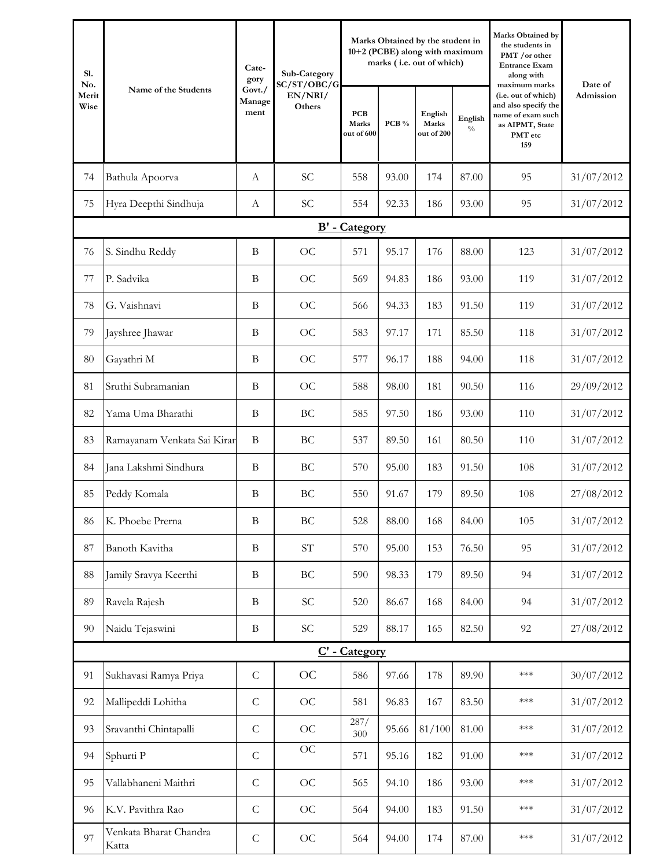| S1.<br>No.    | Name of the Students            | Cate-<br>gory            | Sub-Category<br>SC/ST/OBC/G       |                                   |       | Marks Obtained by the student in<br>10+2 (PCBE) along with maximum<br>marks (i.e. out of which) |                          | Marks Obtained by<br>the students in<br>PMT /or other<br><b>Entrance Exam</b><br>along with<br>maximum marks | Date of<br>Admission |
|---------------|---------------------------------|--------------------------|-----------------------------------|-----------------------------------|-------|-------------------------------------------------------------------------------------------------|--------------------------|--------------------------------------------------------------------------------------------------------------|----------------------|
| Merit<br>Wise |                                 | Govt./<br>Manage<br>ment | EN/NRI/<br>Others                 | <b>PCB</b><br>Marks<br>out of 600 | PCB % | English<br>Marks<br>out of 200                                                                  | English<br>$\frac{0}{0}$ | (i.e. out of which)<br>and also specify the<br>name of exam such<br>as AIPMT, State<br>PMT etc<br>159        |                      |
| 74            | Bathula Apoorva                 | A                        | SC                                | 558                               | 93.00 | 174                                                                                             | 87.00                    | 95                                                                                                           | 31/07/2012           |
| 75            | Hyra Deepthi Sindhuja           | $\boldsymbol{A}$         | <b>SC</b>                         | 554                               | 92.33 | 186                                                                                             | 93.00                    | 95                                                                                                           | 31/07/2012           |
|               |                                 |                          |                                   | <b>B'</b> - Category              |       |                                                                                                 |                          |                                                                                                              |                      |
| 76            | S. Sindhu Reddy                 | $\mathbf B$              | <b>OC</b>                         | 571                               | 95.17 | 176                                                                                             | 88.00                    | 123                                                                                                          | 31/07/2012           |
| 77            | P. Sadvika                      | B                        | <b>OC</b>                         | 569                               | 94.83 | 186                                                                                             | 93.00                    | 119                                                                                                          | 31/07/2012           |
| 78            | G. Vaishnavi                    | B                        | OC                                | 566                               | 94.33 | 183                                                                                             | 91.50                    | 119                                                                                                          | 31/07/2012           |
| 79            | Jayshree Jhawar                 | B                        | <b>OC</b>                         | 583                               | 97.17 | 171                                                                                             | 85.50                    | 118                                                                                                          | 31/07/2012           |
| 80            | Gayathri M                      | B                        | <b>OC</b>                         | 577                               | 96.17 | 188                                                                                             | 94.00                    | 118                                                                                                          | 31/07/2012           |
| 81            | Sruthi Subramanian              | B                        | <b>OC</b>                         | 588                               | 98.00 | 181                                                                                             | 90.50                    | 116                                                                                                          | 29/09/2012           |
| 82            | Yama Uma Bharathi               | B                        | BC                                | 585                               | 97.50 | 186                                                                                             | 93.00                    | 110                                                                                                          | 31/07/2012           |
| 83            | Ramayanam Venkata Sai Kiran     | $\mathbf B$              | BC                                | 537                               | 89.50 | 161                                                                                             | 80.50                    | 110                                                                                                          | 31/07/2012           |
| 84            | Jana Lakshmi Sindhura           | B                        | BC                                | 570                               | 95.00 | 183                                                                                             | 91.50                    | 108                                                                                                          | 31/07/2012           |
| 85            | Peddy Komala                    | B                        | BC                                | 550                               | 91.67 | 179                                                                                             | 89.50                    | 108                                                                                                          | 27/08/2012           |
| 86            | K. Phoebe Prerna                | $\mathbf B$              | $\operatorname{BC}$               | 528                               | 88.00 | 168                                                                                             | 84.00                    | 105                                                                                                          | 31/07/2012           |
| 87            | Banoth Kavitha                  | $\mathbf B$              | $\ensuremath{\mathrm{ST}}$        | 570                               | 95.00 | 153                                                                                             | 76.50                    | 95                                                                                                           | 31/07/2012           |
| 88            | Jamily Sravya Keerthi           | $\bf{B}$                 | $\operatorname{BC}$               | 590                               | 98.33 | 179                                                                                             | 89.50                    | 94                                                                                                           | 31/07/2012           |
| 89            | Ravela Rajesh                   | $\bf{B}$                 | SC                                | 520                               | 86.67 | 168                                                                                             | 84.00                    | 94                                                                                                           | 31/07/2012           |
| 90            | Naidu Tejaswini                 | B                        | $\ensuremath{\mathbf{SC}}\xspace$ | 529                               | 88.17 | 165                                                                                             | 82.50                    | 92                                                                                                           | 27/08/2012           |
|               |                                 |                          |                                   | C' - Category                     |       |                                                                                                 |                          |                                                                                                              |                      |
| 91            | Sukhavasi Ramya Priya           | ${\cal C}$               | OC                                | 586                               | 97.66 | 178                                                                                             | 89.90                    | $***$                                                                                                        | 30/07/2012           |
| 92            | Mallipeddi Lohitha              | $\mathsf C$              | OC                                | 581                               | 96.83 | 167                                                                                             | 83.50                    | $***$                                                                                                        | 31/07/2012           |
| 93            | Sravanthi Chintapalli           | ${\cal C}$               | $\rm OC$                          | 287/<br>300                       | 95.66 | 81/100                                                                                          | 81.00                    | $***$                                                                                                        | 31/07/2012           |
| 94            | Sphurti P                       | $\mathsf C$              | <b>OC</b>                         | 571                               | 95.16 | 182                                                                                             | 91.00                    | $***$                                                                                                        | 31/07/2012           |
| 95            | Vallabhaneni Maithri            | $\mathsf C$              | OC                                | 565                               | 94.10 | 186                                                                                             | 93.00                    | $***$                                                                                                        | 31/07/2012           |
| 96            | K.V. Pavithra Rao               | $\mathsf C$              | OC                                | 564                               | 94.00 | 183                                                                                             | 91.50                    | $***$                                                                                                        | 31/07/2012           |
| 97            | Venkata Bharat Chandra<br>Katta | $\mathsf C$              | <b>OC</b>                         | 564                               | 94.00 | 174                                                                                             | 87.00                    | $***$                                                                                                        | 31/07/2012           |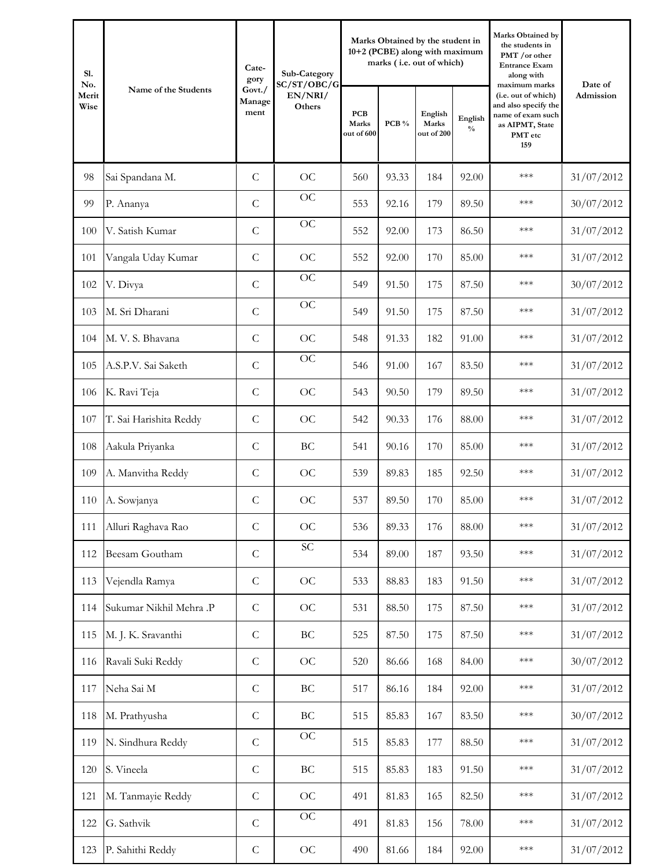| S1.<br>No.    | Name of the Students    | Cate-<br>gory            | Sub-Category<br>SC/ST/OBC/G |                                   |       | Marks Obtained by the student in<br>10+2 (PCBE) along with maximum<br>marks (i.e. out of which) |                          | Marks Obtained by<br>the students in<br>PMT /or other<br><b>Entrance Exam</b><br>along with<br>maximum marks | Date of    |
|---------------|-------------------------|--------------------------|-----------------------------|-----------------------------------|-------|-------------------------------------------------------------------------------------------------|--------------------------|--------------------------------------------------------------------------------------------------------------|------------|
| Merit<br>Wise |                         | Govt./<br>Manage<br>ment | EN/NRI/<br>Others           | <b>PCB</b><br>Marks<br>out of 600 | PCB % | English<br>Marks<br>out of 200                                                                  | English<br>$\frac{0}{0}$ | (i.e. out of which)<br>and also specify the<br>name of exam such<br>as AIPMT, State<br>PMT etc<br>159        | Admission  |
| 98            | Sai Spandana M.         | $\mathsf{C}$             | OC                          | 560                               | 93.33 | 184                                                                                             | 92.00                    | ***                                                                                                          | 31/07/2012 |
| 99            | P. Ananya               | $\overline{C}$           | OC                          | 553                               | 92.16 | 179                                                                                             | 89.50                    | $***$                                                                                                        | 30/07/2012 |
| 100           | V. Satish Kumar         | $\mathcal{C}$            | OC                          | 552                               | 92.00 | 173                                                                                             | 86.50                    | ***                                                                                                          | 31/07/2012 |
| 101           | Vangala Uday Kumar      | $\mathcal{C}$            | OC                          | 552                               | 92.00 | 170                                                                                             | 85.00                    | ***                                                                                                          | 31/07/2012 |
| 102           | V. Divya                | $\mathcal{C}$            | OC                          | 549                               | 91.50 | 175                                                                                             | 87.50                    | ***                                                                                                          | 30/07/2012 |
| 103           | M. Sri Dharani          | $\mathcal{C}$            | OC                          | 549                               | 91.50 | 175                                                                                             | 87.50                    | $***$                                                                                                        | 31/07/2012 |
| 104           | M. V. S. Bhavana        | $\mathcal{C}$            | OC                          | 548                               | 91.33 | 182                                                                                             | 91.00                    | $***$                                                                                                        | 31/07/2012 |
| 105           | A.S.P.V. Sai Saketh     | $\mathcal{C}$            | OC                          | 546                               | 91.00 | 167                                                                                             | 83.50                    | ***                                                                                                          | 31/07/2012 |
| 106           | K. Ravi Teja            | $\mathcal{C}$            | OC                          | 543                               | 90.50 | 179                                                                                             | 89.50                    | $***$                                                                                                        | 31/07/2012 |
| 107           | T. Sai Harishita Reddy  | $\mathcal{C}$            | OC                          | 542                               | 90.33 | 176                                                                                             | 88.00                    | ***                                                                                                          | 31/07/2012 |
| 108           | Aakula Priyanka         | $\mathcal{C}$            | BC                          | 541                               | 90.16 | 170                                                                                             | 85.00                    | $***$                                                                                                        | 31/07/2012 |
| 109           | A. Manvitha Reddy       | $\mathcal{C}$            | OC                          | 539                               | 89.83 | 185                                                                                             | 92.50                    | $***$                                                                                                        | 31/07/2012 |
| 110           | A. Sowjanya             | $\mathcal{C}$            | OC                          | 537                               | 89.50 | 170                                                                                             | 85.00                    | ***                                                                                                          | 31/07/2012 |
| 111           | Alluri Raghava Rao      | $\mathsf{C}$             | OC                          | 536                               | 89.33 | 176                                                                                             | 88.00                    | $***$                                                                                                        | 31/07/2012 |
| 112           | Beesam Goutham          | $\mathsf{C}$             | $\ensuremath{\mathbf{SC}}$  | 534                               | 89.00 | 187                                                                                             | 93.50                    | $***$                                                                                                        | 31/07/2012 |
| 113           | Vejendla Ramya          | ${\cal C}$               | OC                          | 533                               | 88.83 | 183                                                                                             | 91.50                    | $***$                                                                                                        | 31/07/2012 |
| 114           | Sukumar Nikhil Mehra .P | $\mathsf{C}$             | OC                          | 531                               | 88.50 | 175                                                                                             | 87.50                    | $***$                                                                                                        | 31/07/2012 |
| 115           | M. J. K. Sravanthi      | $\mathsf C$              | $\operatorname{BC}$         | 525                               | 87.50 | 175                                                                                             | 87.50                    | $***$                                                                                                        | 31/07/2012 |
| 116           | Ravali Suki Reddy       | $\mathsf C$              | OC                          | 520                               | 86.66 | 168                                                                                             | 84.00                    | $***$                                                                                                        | 30/07/2012 |
| 117           | Neha Sai M              | $\mathsf C$              | $\operatorname{BC}$         | 517                               | 86.16 | 184                                                                                             | 92.00                    | $***$                                                                                                        | 31/07/2012 |
| 118           | M. Prathyusha           | ${\bf C}$                | $\operatorname{BC}$         | 515                               | 85.83 | 167                                                                                             | 83.50                    | $***$                                                                                                        | 30/07/2012 |
| 119           | N. Sindhura Reddy       | $\mathsf{C}$             | OC                          | 515                               | 85.83 | 177                                                                                             | 88.50                    | $***$                                                                                                        | 31/07/2012 |
| 120           | S. Vineela              | $\mathsf C$              | $\operatorname{BC}$         | 515                               | 85.83 | 183                                                                                             | 91.50                    | $***$                                                                                                        | 31/07/2012 |
| 121           | M. Tanmayie Reddy       | $\mathsf C$              | OC                          | 491                               | 81.83 | 165                                                                                             | 82.50                    | $***$                                                                                                        | 31/07/2012 |
| 122           | G. Sathvik              | $\mathsf C$              | OC                          | 491                               | 81.83 | 156                                                                                             | 78.00                    | $***$                                                                                                        | 31/07/2012 |
| 123           | P. Sahithi Reddy        | ${\bf C}$                | $\rm OC$                    | 490                               | 81.66 | 184                                                                                             | 92.00                    | $***$                                                                                                        | 31/07/2012 |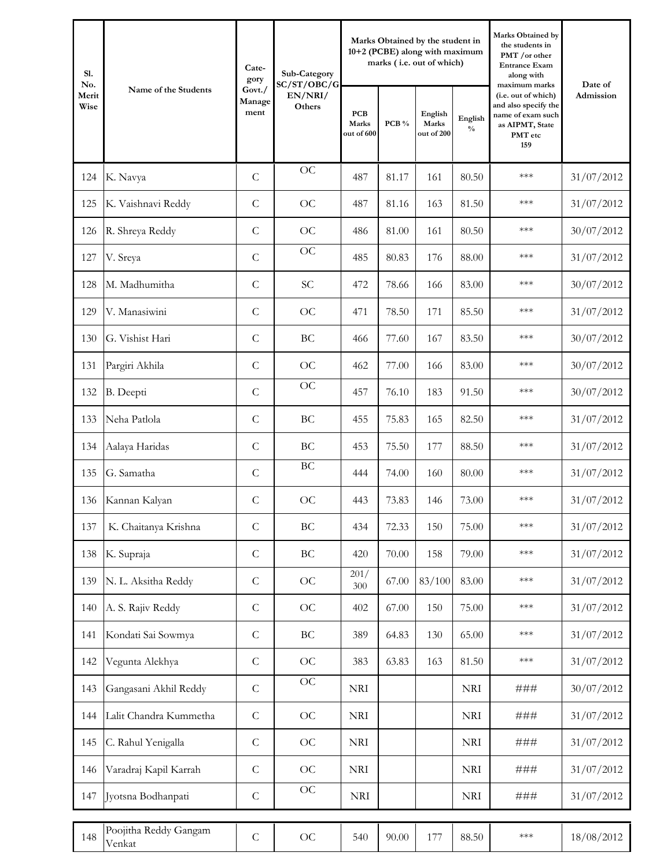| S1.<br>No.    | Name of the Students            | Cate-<br>Sub-Category<br>gory<br>SC/ST/OBC/G |                   |                                   |       |                                | Marks Obtained by the student in<br>10+2 (PCBE) along with maximum<br>marks (i.e. out of which) | Marks Obtained by<br>the students in<br>PMT /or other<br><b>Entrance Exam</b><br>along with<br>maximum marks | Date of    |
|---------------|---------------------------------|----------------------------------------------|-------------------|-----------------------------------|-------|--------------------------------|-------------------------------------------------------------------------------------------------|--------------------------------------------------------------------------------------------------------------|------------|
| Merit<br>Wise |                                 | Govt./<br>Manage<br>ment                     | EN/NRI/<br>Others | <b>PCB</b><br>Marks<br>out of 600 | PCB % | English<br>Marks<br>out of 200 | English<br>$\frac{0}{0}$                                                                        | (i.e. out of which)<br>and also specify the<br>name of exam such<br>as AIPMT, State<br>PMT etc<br>159        | Admission  |
| 124           | K. Navya                        | $\mathcal{C}$                                | OC                | 487                               | 81.17 | 161                            | 80.50                                                                                           | ***                                                                                                          | 31/07/2012 |
| 125           | K. Vaishnavi Reddy              | $\mathcal{C}$                                | OC                | 487                               | 81.16 | 163                            | 81.50                                                                                           | ***                                                                                                          | 31/07/2012 |
| 126           | R. Shreya Reddy                 | $\mathcal{C}$                                | OC                | 486                               | 81.00 | 161                            | 80.50                                                                                           | ***                                                                                                          | 30/07/2012 |
| 127           | V. Sreya                        | $\mathcal{C}$                                | OC                | 485                               | 80.83 | 176                            | 88.00                                                                                           | $***$                                                                                                        | 31/07/2012 |
| 128           | M. Madhumitha                   | $\mathcal{C}$                                | <b>SC</b>         | 472                               | 78.66 | 166                            | 83.00                                                                                           | ***                                                                                                          | 30/07/2012 |
| 129           | V. Manasiwini                   | $\mathsf{C}$                                 | OC                | 471                               | 78.50 | 171                            | 85.50                                                                                           | ***                                                                                                          | 31/07/2012 |
| 130           | G. Vishist Hari                 | $\mathcal{C}$                                | <b>BC</b>         | 466                               | 77.60 | 167                            | 83.50                                                                                           | ***                                                                                                          | 30/07/2012 |
| 131           | Pargiri Akhila                  | $\mathcal{C}$                                | OC                | 462                               | 77.00 | 166                            | 83.00                                                                                           | ***                                                                                                          | 30/07/2012 |
| 132           | B. Deepti                       | $\mathcal{C}$                                | OC                | 457                               | 76.10 | 183                            | 91.50                                                                                           | $***$                                                                                                        | 30/07/2012 |
| 133           | Neha Patlola                    | $\mathcal{C}$                                | BC                | 455                               | 75.83 | 165                            | 82.50                                                                                           | ***                                                                                                          | 31/07/2012 |
| 134           | Aalaya Haridas                  | $\mathcal{C}$                                | BC                | 453                               | 75.50 | 177                            | 88.50                                                                                           | ***                                                                                                          | 31/07/2012 |
| 135           | G. Samatha                      | $\mathcal{C}$                                | BC                | 444                               | 74.00 | 160                            | 80.00                                                                                           | ***                                                                                                          | 31/07/2012 |
| 136           | Kannan Kalyan                   | $\mathcal{C}$                                | OC                | 443                               | 73.83 | 146                            | 73.00                                                                                           | ***                                                                                                          | 31/07/2012 |
| 137           | K. Chaitanya Krishna            | $\mathsf C$                                  | BC                | 434                               | 72.33 | 150                            | 75.00                                                                                           | $***$                                                                                                        | 31/07/2012 |
| 138           | K. Supraja                      | $\mathsf{C}$                                 | BC                | 420                               | 70.00 | 158                            | 79.00                                                                                           | $***$                                                                                                        | 31/07/2012 |
| 139           | N. L. Aksitha Reddy             | ${\bf C}$                                    | OC                | 201/<br>300                       | 67.00 | 83/100                         | 83.00                                                                                           | $***$                                                                                                        | 31/07/2012 |
| 140           | A. S. Rajiv Reddy               | $\mathsf C$                                  | OC                | 402                               | 67.00 | 150                            | 75.00                                                                                           | $***$                                                                                                        | 31/07/2012 |
| 141           | Kondati Sai Sowmya              | $\mathsf C$                                  | BC                | 389                               | 64.83 | 130                            | 65.00                                                                                           | $***$                                                                                                        | 31/07/2012 |
| 142           | Vegunta Alekhya                 | $\mathsf C$                                  | OC                | 383                               | 63.83 | 163                            | 81.50                                                                                           | $***$                                                                                                        | 31/07/2012 |
| 143           | Gangasani Akhil Reddy           | $\mathsf{C}$                                 | OC                | <b>NRI</b>                        |       |                                | <b>NRI</b>                                                                                      | ###                                                                                                          | 30/07/2012 |
| 144           | Lalit Chandra Kummetha          | $\mathsf{C}$                                 | OC                | <b>NRI</b>                        |       |                                | <b>NRI</b>                                                                                      | ###                                                                                                          | 31/07/2012 |
| 145           | C. Rahul Yenigalla              | $\mathsf{C}$                                 | OC                | <b>NRI</b>                        |       |                                | $\rm NRI$                                                                                       | ###                                                                                                          | 31/07/2012 |
| 146           | Varadraj Kapil Karrah           | $\mathsf{C}$                                 | OC                | <b>NRI</b>                        |       |                                | <b>NRI</b>                                                                                      | ###                                                                                                          | 31/07/2012 |
| 147           | Jyotsna Bodhanpati              | $\mathsf C$                                  | OC                | <b>NRI</b>                        |       |                                | <b>NRI</b>                                                                                      | ###                                                                                                          | 31/07/2012 |
| 148           | Poojitha Reddy Gangam<br>Venkat | $\mathsf{C}$                                 | OC                | 540                               | 90.00 | 177                            | 88.50                                                                                           | $***$                                                                                                        | 18/08/2012 |